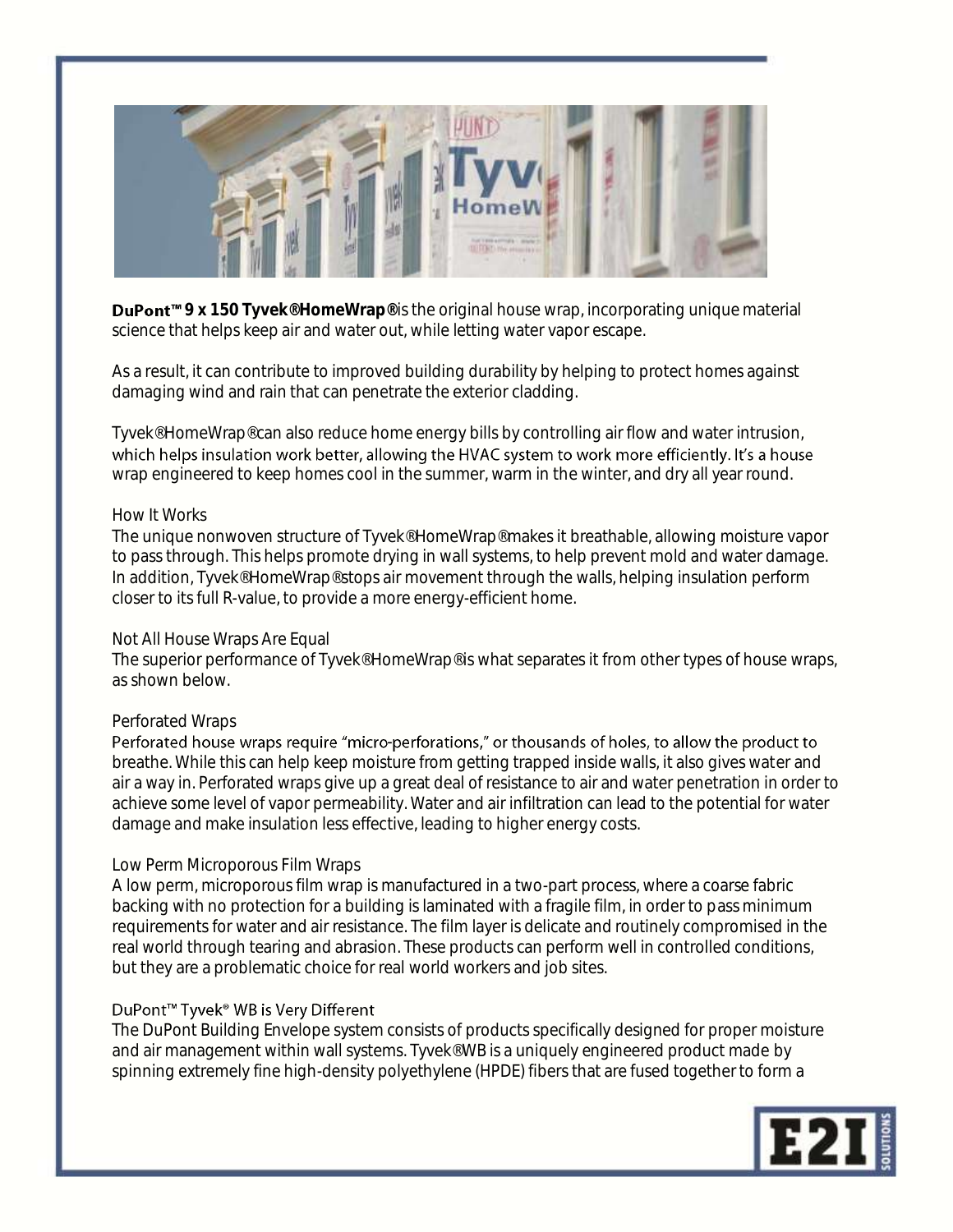

**DuPont<sup>™</sup> 9 x 150 Tyvek® HomeWrap®** is the original house wrap, incorporating unique material science that helps keep air and water out, while letting water vapor escape.

As a result, it can contribute to improved building durability by helping to protect homes against damaging wind and rain that can penetrate the exterior cladding.

Tyvek® HomeWrap® can also reduce home energy bills by controlling air flow and water intrusion, which helps insulation work better, allowing the HVAC system to work more efficiently. It's a house wrap engineered to keep homes cool in the summer, warm in the winter, and dry all year round.

### How It Works

The unique nonwoven structure of Tyvek® HomeWrap® makes it breathable, allowing moisture vapor to pass through. This helps promote drying in wall systems, to help prevent mold and water damage. In addition, Tyvek® HomeWrap® stops air movement through the walls, helping insulation perform closer to its full R-value, to provide a more energy-efficient home.

## Not All House Wraps Are Equal

The superior performance of Tyvek® HomeWrap® is what separates it from other types of house wraps, as shown below.

## Perforated Wraps

Perforated house wraps require "micro-perforations," or thousands of holes, to allow the product to breathe. While this can help keep moisture from getting trapped inside walls, it also gives water and air a way in. Perforated wraps give up a great deal of resistance to air and water penetration in order to achieve some level of vapor permeability. Water and air infiltration can lead to the potential for water damage and make insulation less effective, leading to higher energy costs.

## Low Perm Microporous Film Wraps

A low perm, microporous film wrap is manufactured in a two-part process, where a coarse fabric backing with no protection for a building is laminated with a fragile film, in order to pass minimum requirements for water and air resistance. The film layer is delicate and routinely compromised in the real world through tearing and abrasion. These products can perform well in controlled conditions, but they are a problematic choice for real world workers and job sites.

# DuPont<sup>™</sup> Tyvek<sup>®</sup> WB is Very Different

The DuPont Building Envelope system consists of products specifically designed for proper moisture and air management within wall systems. Tyvek® WB is a uniquely engineered product made by spinning extremely fine high-density polyethylene (HPDE) fibers that are fused together to form a